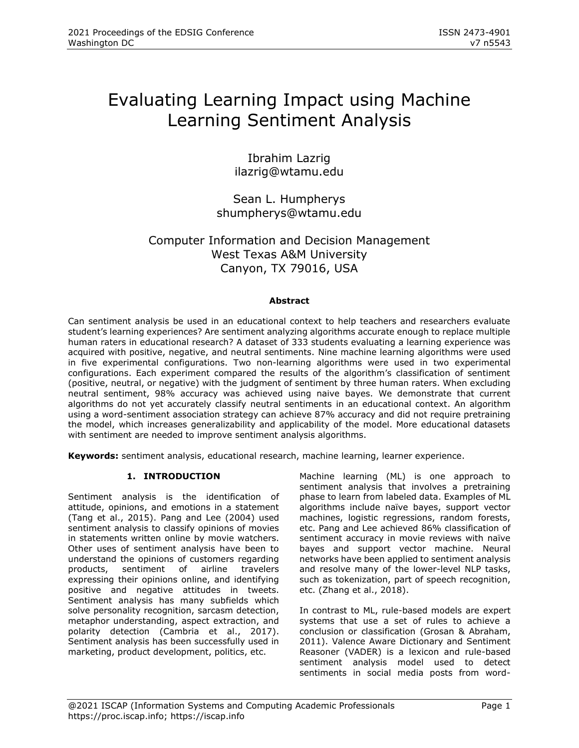# Evaluating Learning Impact using Machine Learning Sentiment Analysis

Ibrahim Lazrig ilazrig@wtamu.edu

Sean L. Humpherys shumpherys@wtamu.edu

# Computer Information and Decision Management West Texas A&M University Canyon, TX 79016, USA

#### **Abstract**

Can sentiment analysis be used in an educational context to help teachers and researchers evaluate student's learning experiences? Are sentiment analyzing algorithms accurate enough to replace multiple human raters in educational research? A dataset of 333 students evaluating a learning experience was acquired with positive, negative, and neutral sentiments. Nine machine learning algorithms were used in five experimental configurations. Two non-learning algorithms were used in two experimental configurations. Each experiment compared the results of the algorithm's classification of sentiment (positive, neutral, or negative) with the judgment of sentiment by three human raters. When excluding neutral sentiment, 98% accuracy was achieved using naive bayes. We demonstrate that current algorithms do not yet accurately classify neutral sentiments in an educational context. An algorithm using a word-sentiment association strategy can achieve 87% accuracy and did not require pretraining the model, which increases generalizability and applicability of the model. More educational datasets with sentiment are needed to improve sentiment analysis algorithms.

**Keywords:** sentiment analysis, educational research, machine learning, learner experience.

# **1. INTRODUCTION**

Sentiment analysis is the identification of attitude, opinions, and emotions in a statement (Tang et al., 2015). Pang and Lee (2004) used sentiment analysis to classify opinions of movies in statements written online by movie watchers. Other uses of sentiment analysis have been to understand the opinions of customers regarding products, sentiment of airline travelers expressing their opinions online, and identifying positive and negative attitudes in tweets. Sentiment analysis has many subfields which solve personality recognition, sarcasm detection, metaphor understanding, aspect extraction, and polarity detection (Cambria et al., 2017). Sentiment analysis has been successfully used in marketing, product development, politics, etc.

Machine learning (ML) is one approach to sentiment analysis that involves a pretraining phase to learn from labeled data. Examples of ML algorithms include naïve bayes, support vector machines, logistic regressions, random forests, etc. Pang and Lee achieved 86% classification of sentiment accuracy in movie reviews with naïve bayes and support vector machine. Neural networks have been applied to sentiment analysis and resolve many of the lower-level NLP tasks, such as tokenization, part of speech recognition, etc. (Zhang et al., 2018).

In contrast to ML, rule-based models are expert systems that use a set of rules to achieve a conclusion or classification (Grosan & Abraham, 2011). Valence Aware Dictionary and Sentiment Reasoner (VADER) is a lexicon and rule-based sentiment analysis model used to detect sentiments in social media posts from word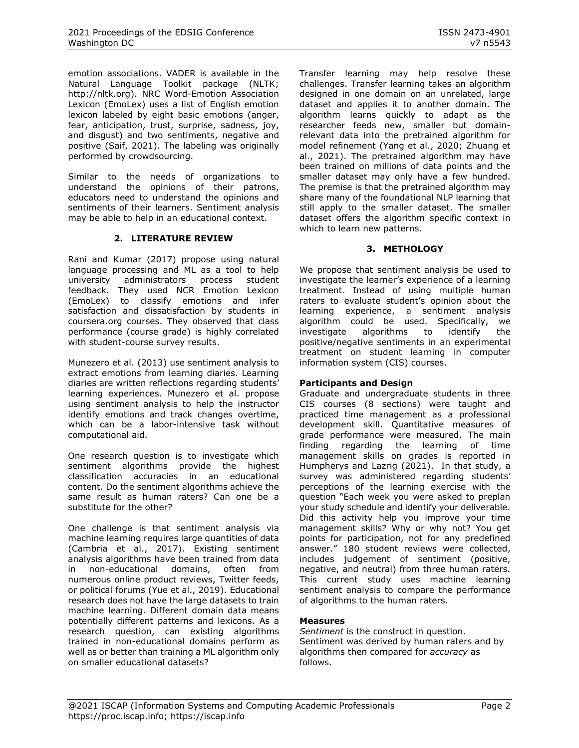emotion associations. VADER is available in the Natural Language Toolkit package (NLTK; http://nltk.org). NRC Word-Emotion Association Lexicon (EmoLex) uses a list of English emotion lexicon labeled by eight basic emotions (anger, fear, anticipation, trust, surprise, sadness, joy, and disgust) and two sentiments, negative and positive (Saif, 2021). The labeling was originally performed by crowdsourcing.

Similar to the needs of organizations to understand the opinions of their patrons, educators need to understand the opinions and sentiments of their learners. Sentiment analysis may be able to help in an educational context.

#### **2. LITERATURE REVIEW**

Rani and Kumar (2017) propose using natural language processing and ML as a tool to help university administrators process student feedback. They used NCR Emotion Lexicon (EmoLex) to classify emotions and infer satisfaction and dissatisfaction by students in coursera.org courses. They observed that class performance (course grade) is highly correlated with student-course survey results.

Munezero et al. (2013) use sentiment analysis to extract emotions from learning diaries. Learning diaries are written reflections regarding students' learning experiences. Munezero et al. propose using sentiment analysis to help the instructor identify emotions and track changes overtime, which can be a labor-intensive task without computational aid.

One research question is to investigate which sentiment algorithms provide the highest classification accuracies in an educational content. Do the sentiment algorithms achieve the same result as human raters? Can one be a substitute for the other?

One challenge is that sentiment analysis via machine learning requires large quantities of data (Cambria et al., 2017). Existing sentiment analysis algorithms have been trained from data in non-educational domains, often from numerous online product reviews, Twitter feeds, or political forums (Yue et al., 2019). Educational research does not have the large datasets to train machine learning. Different domain data means potentially different patterns and lexicons. As a research question, can existing algorithms trained in non-educational domains perform as well as or better than training a ML algorithm only on smaller educational datasets?

Transfer learning may help resolve these challenges. Transfer learning takes an algorithm designed in one domain on an unrelated, large dataset and applies it to another domain. The algorithm learns quickly to adapt as the researcher feeds new, smaller but domainrelevant data into the pretrained algorithm for model refinement (Yang et al., 2020; Zhuang et al., 2021). The pretrained algorithm may have been trained on millions of data points and the smaller dataset may only have a few hundred. The premise is that the pretrained algorithm may share many of the foundational NLP learning that still apply to the smaller dataset. The smaller dataset offers the algorithm specific context in which to learn new patterns.

#### **3. METHOLOGY**

We propose that sentiment analysis be used to investigate the learner's experience of a learning treatment. Instead of using multiple human raters to evaluate student's opinion about the learning experience, a sentiment analysis algorithm could be used. Specifically, we investigate algorithms to identify the positive/negative sentiments in an experimental treatment on student learning in computer information system (CIS) courses.

#### **Participants and Design**

Graduate and undergraduate students in three CIS courses (8 sections) were taught and practiced time management as a professional development skill. Quantitative measures of grade performance were measured. The main finding regarding the learning of time management skills on grades is reported in Humpherys and Lazrig (2021). In that study, a survey was administered regarding students' perceptions of the learning exercise with the question "Each week you were asked to preplan your study schedule and identify your deliverable. Did this activity help you improve your time management skills? Why or why not? You get points for participation, not for any predefined answer." 180 student reviews were collected, includes judgement of sentiment (positive, negative, and neutral) from three human raters. This current study uses machine learning sentiment analysis to compare the performance of algorithms to the human raters.

#### **Measures**

*Sentiment* is the construct in question. Sentiment was derived by human raters and by algorithms then compared for *accuracy* as follows.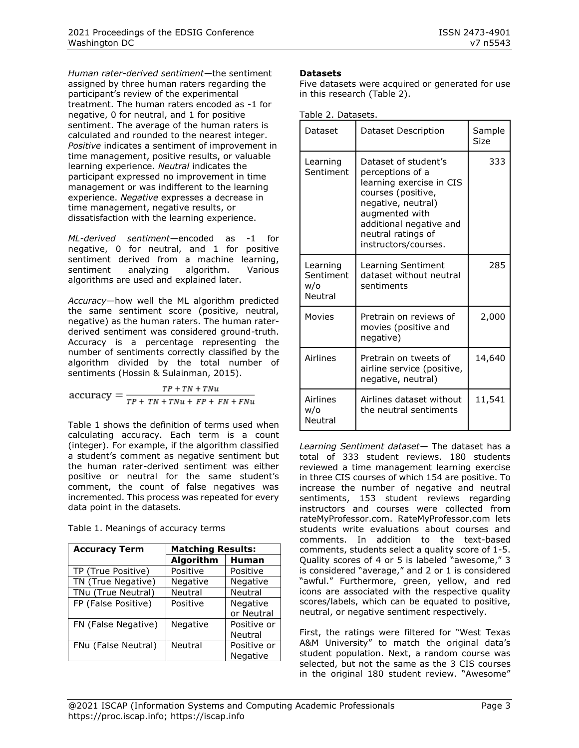*Human rater-derived sentiment*—the sentiment assigned by three human raters regarding the participant's review of the experimental treatment. The human raters encoded as -1 for negative, 0 for neutral, and 1 for positive sentiment. The average of the human raters is calculated and rounded to the nearest integer. *Positive* indicates a sentiment of improvement in time management, positive results, or valuable learning experience. *Neutral* indicates the participant expressed no improvement in time management or was indifferent to the learning experience. *Negative* expresses a decrease in time management, negative results, or dissatisfaction with the learning experience.

*ML-derived sentiment*—encoded as -1 for negative, 0 for neutral, and 1 for positive sentiment derived from a machine learning, sentiment analyzing algorithm. Various algorithms are used and explained later.

*Accuracy*—how well the ML algorithm predicted the same sentiment score (positive, neutral, negative) as the human raters. The human raterderived sentiment was considered ground-truth. Accuracy is a percentage representing the number of sentiments correctly classified by the algorithm divided by the total number of sentiments (Hossin & Sulainman, 2015).

 $TP + TN + TNu$  $accuracy =$  $\overline{TP+TN+TNu+FP+FN+FNu}$ 

Table 1 shows the definition of terms used when calculating accuracy. Each term is a count (integer). For example, if the algorithm classified a student's comment as negative sentiment but the human rater-derived sentiment was either positive or neutral for the same student's comment, the count of false negatives was incremented. This process was repeated for every data point in the datasets.

| Table 1. Meanings of accuracy terms |  |
|-------------------------------------|--|
|-------------------------------------|--|

| <b>Accuracy Term</b> | <b>Matching Results:</b> |                               |
|----------------------|--------------------------|-------------------------------|
|                      | Algorithm                | Human                         |
| TP (True Positive)   | Positive                 | Positive                      |
| TN (True Negative)   | Negative                 | Negative                      |
| TNu (True Neutral)   | Neutral                  | Neutral                       |
| FP (False Positive)  | Positive                 | <b>Negative</b><br>or Neutral |
| FN (False Negative)  | Negative                 | Positive or<br>Neutral        |
| FNu (False Neutral)  | Neutral                  | Positive or<br>Negative       |

#### **Datasets**

Five datasets were acquired or generated for use in this research (Table 2).

|  |  |  | Table 2. Datasets. |
|--|--|--|--------------------|
|--|--|--|--------------------|

| Dataset                                 | Dataset Description                                                                                                                                                                                         | Sample<br>Size |  |
|-----------------------------------------|-------------------------------------------------------------------------------------------------------------------------------------------------------------------------------------------------------------|----------------|--|
| Learning<br>Sentiment                   | Dataset of student's<br>perceptions of a<br>learning exercise in CIS<br>courses (positive,<br>negative, neutral)<br>augmented with<br>additional negative and<br>neutral ratings of<br>instructors/courses. | 333            |  |
| Learning<br>Sentiment<br>w/o<br>Neutral | Learning Sentiment<br>dataset without neutral<br>sentiments                                                                                                                                                 | 285            |  |
| Movies                                  | Pretrain on reviews of<br>movies (positive and<br>negative)                                                                                                                                                 | 2,000          |  |
| Airlines                                | Pretrain on tweets of<br>airline service (positive,<br>negative, neutral)                                                                                                                                   | 14,640         |  |
| Airlines<br>w/o<br>Neutral              | Airlines dataset without<br>the neutral sentiments                                                                                                                                                          | 11,541         |  |

*Learning Sentiment dataset*— The dataset has a total of 333 student reviews. 180 students reviewed a time management learning exercise in three CIS courses of which 154 are positive. To increase the number of negative and neutral sentiments, 153 student reviews regarding instructors and courses were collected from rateMyProfessor.com. RateMyProfessor.com lets students write evaluations about courses and comments. In addition to the text-based comments, students select a quality score of 1-5. Quality scores of 4 or 5 is labeled "awesome," 3 is considered "average," and 2 or 1 is considered "awful." Furthermore, green, yellow, and red icons are associated with the respective quality scores/labels, which can be equated to positive, neutral, or negative sentiment respectively.

First, the ratings were filtered for "West Texas A&M University" to match the original data's student population. Next, a random course was selected, but not the same as the 3 CIS courses in the original 180 student review. "Awesome"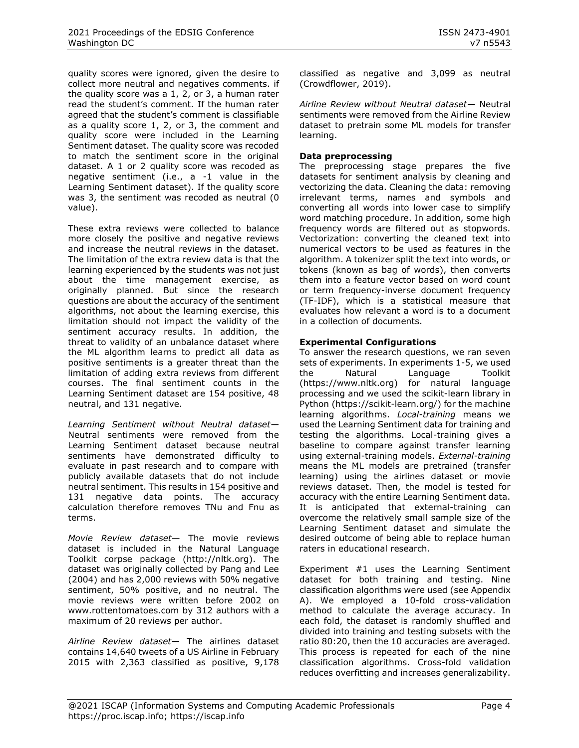quality scores were ignored, given the desire to collect more neutral and negatives comments. if the quality score was a 1, 2, or 3, a human rater read the student's comment. If the human rater agreed that the student's comment is classifiable as a quality score 1, 2, or 3, the comment and quality score were included in the Learning Sentiment dataset. The quality score was recoded to match the sentiment score in the original dataset. A 1 or 2 quality score was recoded as negative sentiment (i.e., a -1 value in the Learning Sentiment dataset). If the quality score was 3, the sentiment was recoded as neutral (0 value).

These extra reviews were collected to balance more closely the positive and negative reviews and increase the neutral reviews in the dataset. The limitation of the extra review data is that the learning experienced by the students was not just about the time management exercise, as originally planned. But since the research questions are about the accuracy of the sentiment algorithms, not about the learning exercise, this limitation should not impact the validity of the sentiment accuracy results. In addition, the threat to validity of an unbalance dataset where the ML algorithm learns to predict all data as positive sentiments is a greater threat than the limitation of adding extra reviews from different courses. The final sentiment counts in the Learning Sentiment dataset are 154 positive, 48 neutral, and 131 negative.

*Learning Sentiment without Neutral dataset*— Neutral sentiments were removed from the Learning Sentiment dataset because neutral sentiments have demonstrated difficulty to evaluate in past research and to compare with publicly available datasets that do not include neutral sentiment. This results in 154 positive and 131 negative data points. The accuracy calculation therefore removes TNu and Fnu as terms.

*Movie Review dataset*— The movie reviews dataset is included in the Natural Language Toolkit corpse package (http://nltk.org). The dataset was originally collected by Pang and Lee (2004) and has 2,000 reviews with 50% negative sentiment, 50% positive, and no neutral. The movie reviews were written before 2002 on [www.rottentomatoes.com](http://www.rottentomatoes.com/) by 312 authors with a maximum of 20 reviews per author.

*Airline Review dataset*— The airlines dataset contains 14,640 tweets of a US Airline in February 2015 with 2,363 classified as positive, 9,178 classified as negative and 3,099 as neutral (Crowdflower, 2019).

*Airline Review without Neutral dataset*— Neutral sentiments were removed from the Airline Review dataset to pretrain some ML models for transfer learning.

#### **Data preprocessing**

The preprocessing stage prepares the five datasets for sentiment analysis by cleaning and vectorizing the data. Cleaning the data: removing irrelevant terms, names and symbols and converting all words into lower case to simplify word matching procedure. In addition, some high frequency words are filtered out as stopwords. Vectorization: converting the cleaned text into numerical vectors to be used as features in the algorithm. A tokenizer split the text into words, or tokens (known as bag of words), then converts them into a feature vector based on word count or term frequency-inverse document frequency (TF-IDF), which is a statistical measure that evaluates how relevant a word is to a document in a collection of documents.

#### **Experimental Configurations**

To answer the research questions, we ran seven sets of experiments. In experiments 1-5, we used the Natural Language Toolkit (https://www.nltk.org) for natural language processing and we used the scikit-learn library in Python (https://scikit-learn.org/) for the machine learning algorithms. *Local-training* means we used the Learning Sentiment data for training and testing the algorithms. Local-training gives a baseline to compare against transfer learning using external-training models. *External-training* means the ML models are pretrained (transfer learning) using the airlines dataset or movie reviews dataset. Then, the model is tested for accuracy with the entire Learning Sentiment data. It is anticipated that external-training can overcome the relatively small sample size of the Learning Sentiment dataset and simulate the desired outcome of being able to replace human raters in educational research.

Experiment #1 uses the Learning Sentiment dataset for both training and testing. Nine classification algorithms were used (see Appendix A). We employed a 10-fold cross-validation method to calculate the average accuracy. In each fold, the dataset is randomly shuffled and divided into training and testing subsets with the ratio 80:20, then the 10 accuracies are averaged. This process is repeated for each of the nine classification algorithms. Cross-fold validation reduces overfitting and increases generalizability.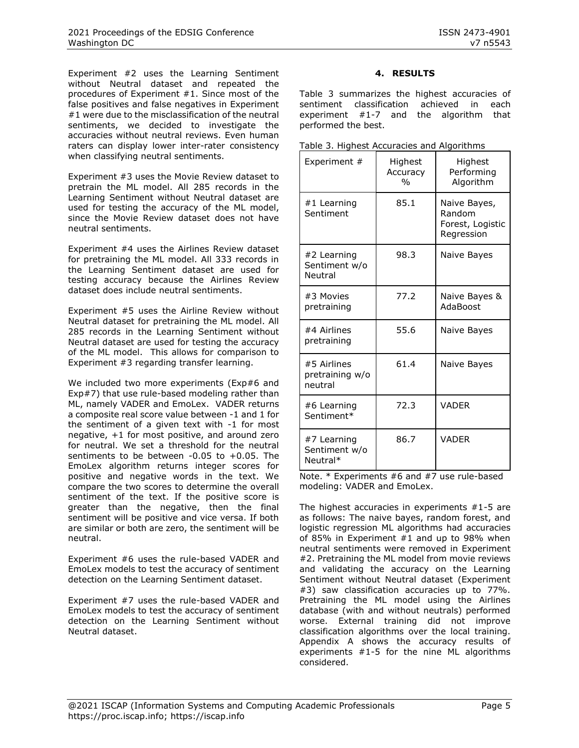Experiment #2 uses the Learning Sentiment without Neutral dataset and repeated the procedures of Experiment #1. Since most of the false positives and false negatives in Experiment #1 were due to the misclassification of the neutral sentiments, we decided to investigate the accuracies without neutral reviews. Even human raters can display lower inter-rater consistency when classifying neutral sentiments.

Experiment #3 uses the Movie Review dataset to pretrain the ML model. All 285 records in the Learning Sentiment without Neutral dataset are used for testing the accuracy of the ML model, since the Movie Review dataset does not have neutral sentiments.

Experiment #4 uses the Airlines Review dataset for pretraining the ML model. All 333 records in the Learning Sentiment dataset are used for testing accuracy because the Airlines Review dataset does include neutral sentiments.

Experiment #5 uses the Airline Review without Neutral dataset for pretraining the ML model. All 285 records in the Learning Sentiment without Neutral dataset are used for testing the accuracy of the ML model. This allows for comparison to Experiment #3 regarding transfer learning.

We included two more experiments (Exp#6 and Exp#7) that use rule-based modeling rather than ML, namely VADER and EmoLex. VADER returns a composite real score value between -1 and 1 for the sentiment of a given text with -1 for most negative, +1 for most positive, and around zero for neutral. We set a threshold for the neutral sentiments to be between -0.05 to +0.05. The EmoLex algorithm returns integer scores for positive and negative words in the text. We compare the two scores to determine the overall sentiment of the text. If the positive score is greater than the negative, then the final sentiment will be positive and vice versa. If both are similar or both are zero, the sentiment will be neutral.

Experiment #6 uses the rule-based VADER and EmoLex models to test the accuracy of sentiment detection on the Learning Sentiment dataset.

Experiment #7 uses the rule-based VADER and EmoLex models to test the accuracy of sentiment detection on the Learning Sentiment without Neutral dataset.

# **4. RESULTS**

Table 3 summarizes the highest accuracies of sentiment classification achieved in each experiment #1-7 and the algorithm that performed the best.

| Experiment #                              | Highest<br>Accuracy<br>$\frac{0}{0}$ | Highest<br>Performing<br>Algorithm                       |
|-------------------------------------------|--------------------------------------|----------------------------------------------------------|
| #1 Learning<br>Sentiment                  | 85.1                                 | Naive Bayes,<br>Random<br>Forest, Logistic<br>Regression |
| #2 Learning<br>Sentiment w/o<br>Neutral   | 98.3                                 | Naive Bayes                                              |
| #3 Movies<br>pretraining                  | 77.2                                 | Naive Bayes &<br>AdaBoost                                |
| #4 Airlines<br>pretraining                | 55.6                                 | Naive Bayes                                              |
| #5 Airlines<br>pretraining w/o<br>neutral | 61.4                                 | Naive Bayes                                              |
| #6 Learning<br>Sentiment*                 | 72.3                                 | <b>VADER</b>                                             |
| #7 Learning<br>Sentiment w/o<br>Neutral*  | 86.7                                 | <b>VADER</b>                                             |

Note. \* Experiments #6 and #7 use rule-based modeling: VADER and EmoLex.

The highest accuracies in experiments #1-5 are as follows: The naive bayes, random forest, and logistic regression ML algorithms had accuracies of 85% in Experiment #1 and up to 98% when neutral sentiments were removed in Experiment #2. Pretraining the ML model from movie reviews and validating the accuracy on the Learning Sentiment without Neutral dataset (Experiment #3) saw classification accuracies up to 77%. Pretraining the ML model using the Airlines database (with and without neutrals) performed worse. External training did not improve classification algorithms over the local training. Appendix A shows the accuracy results of experiments #1-5 for the nine ML algorithms considered.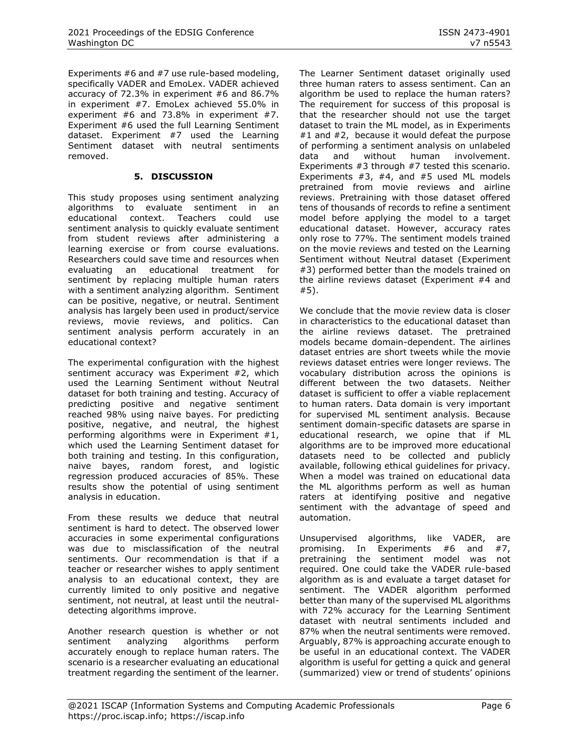Experiments #6 and #7 use rule-based modeling, specifically VADER and EmoLex. VADER achieved accuracy of 72.3% in experiment #6 and 86.7% in experiment #7. EmoLex achieved 55.0% in experiment #6 and 73.8% in experiment #7. Experiment #6 used the full Learning Sentiment dataset. Experiment #7 used the Learning Sentiment dataset with neutral sentiments removed.

## **5. DISCUSSION**

This study proposes using sentiment analyzing algorithms to evaluate sentiment in an educational context. Teachers could use sentiment analysis to quickly evaluate sentiment from student reviews after administering a learning exercise or from course evaluations. Researchers could save time and resources when evaluating an educational treatment for sentiment by replacing multiple human raters with a sentiment analyzing algorithm. Sentiment can be positive, negative, or neutral. Sentiment analysis has largely been used in product/service reviews, movie reviews, and politics. Can sentiment analysis perform accurately in an educational context?

The experimental configuration with the highest sentiment accuracy was Experiment #2, which used the Learning Sentiment without Neutral dataset for both training and testing. Accuracy of predicting positive and negative sentiment reached 98% using naive bayes. For predicting positive, negative, and neutral, the highest performing algorithms were in Experiment #1, which used the Learning Sentiment dataset for both training and testing. In this configuration, naive bayes, random forest, and logistic regression produced accuracies of 85%. These results show the potential of using sentiment analysis in education.

From these results we deduce that neutral sentiment is hard to detect. The observed lower accuracies in some experimental configurations was due to misclassification of the neutral sentiments. Our recommendation is that if a teacher or researcher wishes to apply sentiment analysis to an educational context, they are currently limited to only positive and negative sentiment, not neutral, at least until the neutraldetecting algorithms improve.

Another research question is whether or not sentiment analyzing algorithms perform accurately enough to replace human raters. The scenario is a researcher evaluating an educational treatment regarding the sentiment of the learner.

The Learner Sentiment dataset originally used three human raters to assess sentiment. Can an algorithm be used to replace the human raters? The requirement for success of this proposal is that the researcher should not use the target dataset to train the ML model, as in Experiments #1 and #2, because it would defeat the purpose of performing a sentiment analysis on unlabeled data and without human involvement. Experiments #3 through #7 tested this scenario. Experiments  $#3$ ,  $#4$ , and  $#5$  used ML models pretrained from movie reviews and airline reviews. Pretraining with those dataset offered tens of thousands of records to refine a sentiment model before applying the model to a target educational dataset. However, accuracy rates only rose to 77%. The sentiment models trained on the movie reviews and tested on the Learning Sentiment without Neutral dataset (Experiment #3) performed better than the models trained on the airline reviews dataset (Experiment #4 and #5).

We conclude that the movie review data is closer in characteristics to the educational dataset than the airline reviews dataset. The pretrained models became domain-dependent. The airlines dataset entries are short tweets while the movie reviews dataset entries were longer reviews. The vocabulary distribution across the opinions is different between the two datasets. Neither dataset is sufficient to offer a viable replacement to human raters. Data domain is very important for supervised ML sentiment analysis. Because sentiment domain-specific datasets are sparse in educational research, we opine that if ML algorithms are to be improved more educational datasets need to be collected and publicly available, following ethical guidelines for privacy. When a model was trained on educational data the ML algorithms perform as well as human raters at identifying positive and negative sentiment with the advantage of speed and automation.

Unsupervised algorithms, like VADER, are promising. In Experiments #6 and #7, pretraining the sentiment model was not required. One could take the VADER rule-based algorithm as is and evaluate a target dataset for sentiment. The VADER algorithm performed better than many of the supervised ML algorithms with 72% accuracy for the Learning Sentiment dataset with neutral sentiments included and 87% when the neutral sentiments were removed. Arguably, 87% is approaching accurate enough to be useful in an educational context. The VADER algorithm is useful for getting a quick and general (summarized) view or trend of students' opinions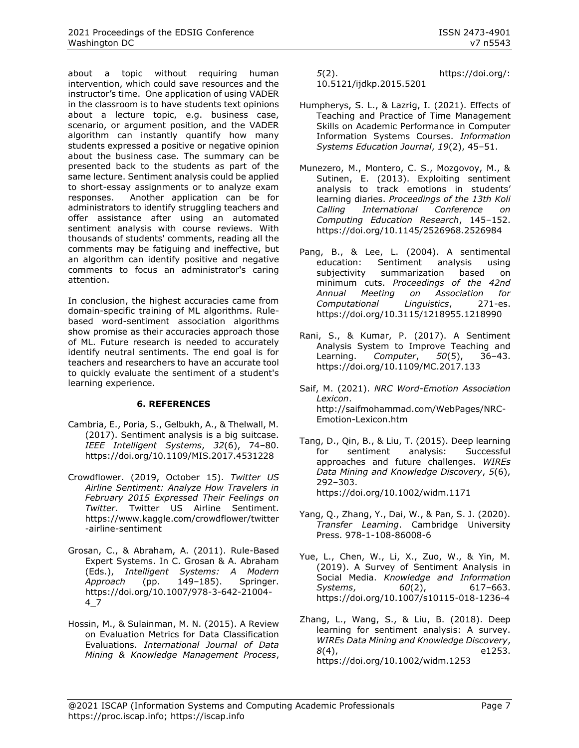about a topic without requiring human intervention, which could save resources and the instructor's time. One application of using VADER in the classroom is to have students text opinions about a lecture topic, e.g. business case, scenario, or argument position, and the VADER algorithm can instantly quantify how many students expressed a positive or negative opinion about the business case. The summary can be presented back to the students as part of the same lecture. Sentiment analysis could be applied to short-essay assignments or to analyze exam responses. Another application can be for administrators to identify struggling teachers and offer assistance after using an automated sentiment analysis with course reviews. With thousands of students' comments, reading all the comments may be fatiguing and ineffective, but an algorithm can identify positive and negative comments to focus an administrator's caring attention.

In conclusion, the highest accuracies came from domain-specific training of ML algorithms. Rulebased word-sentiment association algorithms show promise as their accuracies approach those of ML. Future research is needed to accurately identify neutral sentiments. The end goal is for teachers and researchers to have an accurate tool to quickly evaluate the sentiment of a student's learning experience.

#### **6. REFERENCES**

- Cambria, E., Poria, S., Gelbukh, A., & Thelwall, M. (2017). Sentiment analysis is a big suitcase. *IEEE Intelligent Systems*, *32*(6), 74–80. https://doi.org/10.1109/MIS.2017.4531228
- Crowdflower. (2019, October 15). *Twitter US Airline Sentiment: Analyze How Travelers in February 2015 Expressed Their Feelings on Twitter*. Twitter US Airline Sentiment. https://www.kaggle.com/crowdflower/twitter -airline-sentiment
- Grosan, C., & Abraham, A. (2011). Rule-Based Expert Systems. In C. Grosan & A. Abraham (Eds.), *Intelligent Systems: A Modern Approach* (pp. 149–185). Springer. https://doi.org/10.1007/978-3-642-21004- 4\_7
- Hossin, M., & Sulainman, M. N. (2015). A Review on Evaluation Metrics for Data Classification Evaluations. *International Journal of Data Mining & Knowledge Management Process*,

*5*(2). https://doi.org/: 10.5121/ijdkp.2015.5201

- Humpherys, S. L., & Lazrig, I. (2021). Effects of Teaching and Practice of Time Management Skills on Academic Performance in Computer Information Systems Courses. *Information Systems Education Journal*, *19*(2), 45–51.
- Munezero, M., Montero, C. S., Mozgovoy, M., & Sutinen, E. (2013). Exploiting sentiment analysis to track emotions in students' learning diaries. *Proceedings of the 13th Koli Calling International Conference on Computing Education Research*, 145–152. https://doi.org/10.1145/2526968.2526984
- Pang, B., & Lee, L. (2004). A sentimental education: Sentiment analysis using subjectivity summarization based on minimum cuts. *Proceedings of the 42nd Annual Meeting on Association for Computational Linguistics*, 271-es. https://doi.org/10.3115/1218955.1218990
- Rani, S., & Kumar, P. (2017). A Sentiment Analysis System to Improve Teaching and Learning. *Computer*, *50*(5), 36–43. https://doi.org/10.1109/MC.2017.133
- Saif, M. (2021). *NRC Word-Emotion Association Lexicon*. http://saifmohammad.com/WebPages/NRC-Emotion-Lexicon.htm
- Tang, D., Qin, B., & Liu, T. (2015). Deep learning for sentiment analysis: Successful approaches and future challenges. *WIREs Data Mining and Knowledge Discovery*, *5*(6), 292–303. https://doi.org/10.1002/widm.1171
- Yang, Q., Zhang, Y., Dai, W., & Pan, S. J. (2020). *Transfer Learning*. Cambridge University Press. 978-1-108-86008-6
- Yue, L., Chen, W., Li, X., Zuo, W., & Yin, M. (2019). A Survey of Sentiment Analysis in Social Media. *Knowledge and Information Systems*, *60*(2), 617–663. https://doi.org/10.1007/s10115-018-1236-4
- Zhang, L., Wang, S., & Liu, B. (2018). Deep learning for sentiment analysis: A survey. *WIREs Data Mining and Knowledge Discovery*, *8*(4), e1253. https://doi.org/10.1002/widm.1253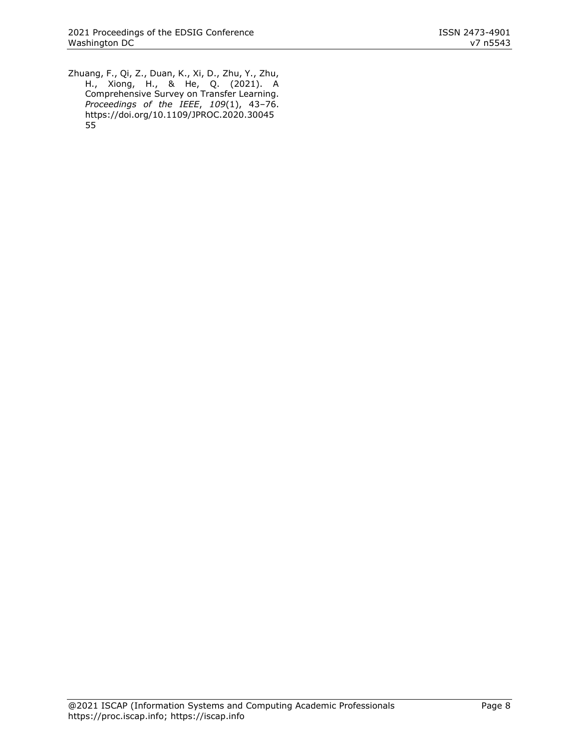Zhuang, F., Qi, Z., Duan, K., Xi, D., Zhu, Y., Zhu, H., Xiong, H., & He, Q. (2021). A Comprehensive Survey on Transfer Learning. *Proceedings of the IEEE*, *109*(1), 43–76. https://doi.org/10.1109/JPROC.2020.30045 55